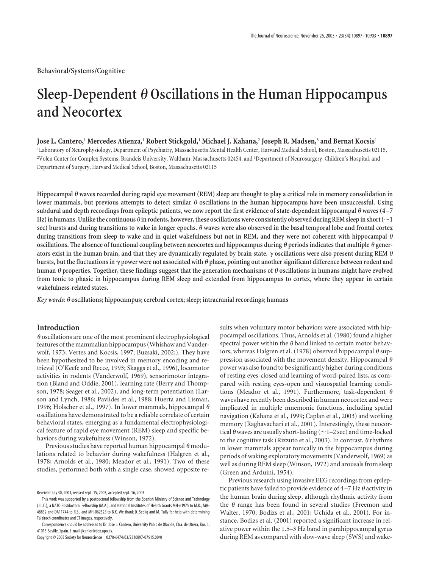# Sleep-Dependent  $\theta$  Oscillations in the Human Hippocampus **and Neocortex**

## **Jose L. Cantero,**<sup>1</sup> **Mercedes Atienza,**<sup>1</sup> **Robert Stickgold,**<sup>1</sup> **Michael J. Kahana,**<sup>2</sup> **Joseph R. Madsen,**<sup>3</sup> **and Bernat Kocsis**<sup>1</sup>

1 Laboratory of Neurophysiology, Department of Psychiatry, Massachusetts Mental Health Center, Harvard Medical School, Boston, Massachusetts 02115, <sup>2</sup>Volen Center for Complex Systems, Brandeis University, Waltham, Massachusetts 02454, and <sup>3</sup>Department of Neurosurgery, Children's Hospital, and Department of Surgery, Harvard Medical School, Boston, Massachusetts 02115

**Hippocampal waves recorded during rapid eye movement (REM) sleep are thought to play a critical role in memory consolidation in** lower mammals, but previous attempts to detect similar  $\theta$  oscillations in the human hippocampus have been unsuccessful. Using **subdural and depth recordings from epileptic patients, we now report the first evidence of state-dependent hippocampal waves (4 –7** Hz) in humans. Unlike the continuous  $\theta$  in rodents, however, these oscillations were consistently observed during REM sleep in short ( $\sim$ 1 sec) bursts and during transitions to wake in longer epochs.  $\theta$  waves were also observed in the basal temporal lobe and frontal cortex during transitions from sleep to wake and in quiet wakefulness but not in REM, and they were not coherent with hippocampal  $\theta$ oscillations. The absence of functional coupling between neocortex and hippocampus during  $\theta$  periods indicates that multiple  $\theta$  generators exist in the human brain, and that they are dynamically regulated by brain state.  $\gamma$  oscillations were also present during REM  $\theta$ bursts, but the fluctuations in  $\gamma$  power were not associated with  $\theta$  phase, pointing out another significant difference between rodent and human  $\theta$  properties. Together, these findings suggest that the generation mechanisms of  $\theta$  oscillations in humans might have evolved **from tonic to phasic in hippocampus during REM sleep and extended from hippocampus to cortex, where they appear in certain wakefulness-related states.**

*Key words:* **oscillations; hippocampus; cerebral cortex; sleep; intracranial recordings; humans**

### **Introduction**

 $\theta$  oscillations are one of the most prominent electrophysiological features of the mammalian hippocampus (Whishaw and Vanderwolf, 1973; Vertes and Kocsis, 1997; Buzsaki, 2002;). They have been hypothesized to be involved in memory encoding and retrieval (O'Keefe and Recce, 1993; Skaggs et al., 1996), locomotor activities in rodents (Vanderwolf, 1969), sensorimotor integration (Bland and Oddie, 2001), learning rate (Berry and Thompson, 1978; Seager et al., 2002), and long-term potentiation (Larson and Lynch, 1986; Pavlides et al., 1988; Huerta and Lisman, 1996; Holscher et al., 1997). In lower mammals, hippocampal  $\theta$ oscillations have demonstrated to be a reliable correlate of certain behavioral states, emerging as a fundamental electrophysiological feature of rapid eye movement (REM) sleep and specific behaviors during wakefulness (Winson, 1972).

Previous studies have reported human hippocampal  $\theta$  modulations related to behavior during wakefulness (Halgren et al., 1978; Arnolds et al., 1980; Meador et al., 1991). Two of these studies, performed both with a single case, showed opposite re-

Copyright © 2003 Society for Neuroscience 0270-6474/03/2310897-07\$15.00/0

sults when voluntary motor behaviors were associated with hippocampal oscillations. Thus, Arnolds et al. (1980) found a higher spectral power within the  $\theta$  band linked to certain motor behaviors, whereas Halgren et al. (1978) observed hippocampal  $\theta$  suppression associated with the movement density. Hippocampal  $\theta$ power was also found to be significantly higher during conditions of resting eyes-closed and learning of word-paired lists, as compared with resting eyes-open and visuospatial learning conditions (Meador et al., 1991). Furthermore, task-dependent  $\theta$ waves have recently been described in human neocortex and were implicated in multiple mnemonic functions, including spatial navigation (Kahana et al., 1999; Caplan et al., 2003) and working memory (Raghavachari et al., 2001). Interestingly, these neocortical  $\theta$  waves are usually short-lasting ( $\sim$  1–2 sec) and time-locked to the cognitive task (Rizzuto et al., 2003). In contrast,  $\theta$  rhythms in lower mammals appear tonically in the hippocampus during periods of waking exploratory movements (Vanderwolf, 1969) as well as during REM sleep (Winson, 1972) and arousals from sleep (Green and Arduini, 1954).

Previous research using invasive EEG recordings from epileptic patients have failed to provide evidence of  $4-7$  Hz  $\theta$  activity in the human brain during sleep, although rhythmic activity from the  $\theta$  range has been found in several studies (Freemon and Walter, 1970; Bodizs et al., 2001; Uchida et al., 2001). For instance, Bodizs et al. (2001) reported a significant increase in relative power within the 1.5–3 Hz band in parahippocampal gyrus during REM as compared with slow-wave sleep (SWS) and wake-

Received July 30, 2003; revised Sept. 15, 2003; accepted Sept. 16, 2003.

This work was supported by a postdoctoral fellowship from the Spanish Ministry of Science and Technology (J.L.C.), a NATO Postdoctoral Fellowship (M.A.), and National Institutes of Health Grants MH-61975 to M.K., MH-48832 and DA11744 to R.S., and MH-062525 to B.K. We thank D. Seelig and M. Tully for help with determining Talairach coordinates and CT images, respectively.

Correspondence should be addressed to Dr. Jose L. Cantero, University Pablo de Olavide, Ctra. de Utrera, Km. 1, 41013-Seville, Spain. E-mail: jlcanlor@dex.upo.es.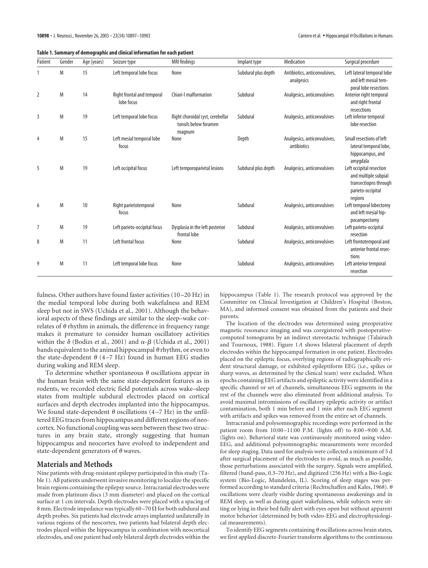| Table 1. Summary of demographic and clinical information for each patient |
|---------------------------------------------------------------------------|
|---------------------------------------------------------------------------|

| Patient        | Gender | Age (years) | Seizure type                             | <b>MRI</b> findings                                                 | Implant type        | Medication                                  | Surgical procedure                                                                                        |
|----------------|--------|-------------|------------------------------------------|---------------------------------------------------------------------|---------------------|---------------------------------------------|-----------------------------------------------------------------------------------------------------------|
|                | M      | 15          | Left temporal lobe focus                 | None                                                                | Subdural plus depth | Antibiotics, anticonvulsives,<br>analgesics | Left lateral temporal lobe<br>and left mesial tem-<br>poral lobe resections                               |
| $\overline{2}$ | M      | 14          | Right frontal and temporal<br>lobe focus | Chiari-I malformation                                               | Subdural            | Analgesics, anticonvulsives                 | Anterior right temporal<br>and right frontal<br>resecctions                                               |
| 3              | M      | 19          | Left temporal lobe focus                 | Right choroidal cyst, cerebellar<br>tonsils below foramen<br>magnum | Subdural            | Analgesics, anticonvulsives                 | Left inferior temporal<br>lobe resection                                                                  |
| 4              | M      | 15          | Left mesial temporal lobe<br>focus       | None                                                                | Depth               | Analgesics, anticonvulsives,<br>antibiotics | Small resections of left<br>lateral temporal lobe,<br>hippocampus, and<br>amyqdala                        |
| 5              | M      | 19          | Left occipital focus                     | Left temporoparietal lesions                                        | Subdural plus depth | Analgesics, anticonvulsives                 | Left occipital resection<br>and multiple subpial<br>transectiopns through<br>parieto-occipital<br>regions |
| 6              | M      | 10          | Right parietotemporal<br>focus           | None                                                                | Subdural            | Analgesics, anticonvulsives                 | Left temporal lobectomy<br>and left mesial hip-<br>pocampectomy                                           |
| $\overline{7}$ | M      | 19          | Left parieto-occipital focus             | Dysplasia in the left posterior<br>frontal lobe                     | Subdural            | Analgesics, anticonvulsives                 | Left parieto-occipital<br>resection                                                                       |
| 8              | M      | 11          | Left frontal focus                       | None                                                                | Subdural            | Analgesics, anticonvulsives                 | Left frontotemporal and<br>anterior frontal resec-<br>tions                                               |
| 9              | M      | 11          | Left temporal lobe focus                 | None                                                                | Subdural            | Analgesics, anticonvulsives                 | Left anterior temporal<br>resection                                                                       |

fulness. Other authors have found faster activities (10–20 Hz) in the medial temporal lobe during both wakefulness and REM sleep but not in SWS (Uchida et al., 2001). Although the behavioral aspects of these findings are similar to the sleep–wake correlates of  $\theta$  rhythm in animals, the difference in frequency range makes it premature to consider human oscillatory activities within the  $\delta$  (Bodizs et al., 2001) and  $\alpha$ - $\beta$  (Uchida et al., 2001) bands equivalent to the animal hippocampal  $\theta$  rhythm, or even to the state-dependent  $\theta$  (4–7 Hz) found in human EEG studies during waking and REM sleep.

To determine whether spontaneous  $\theta$  oscillations appear in the human brain with the same state-dependent features as in rodents, we recorded electric field potentials across wake–sleep states from multiple subdural electrodes placed on cortical surfaces and depth electrodes implanted into the hippocampus. We found state-dependent  $\theta$  oscillations (4–7 Hz) in the unfiltered EEG traces from hippocampus and different regions of neocortex. No functional coupling was seen between these two structures in any brain state, strongly suggesting that human hippocampus and neocortex have evolved to independent and state-dependent generators of  $\theta$  waves.

#### **Materials and Methods**

Nine patients with drug-resistant epilepsy participated in this study (Table 1). All patients underwent invasive monitoring to localize the specific brain regions containing the epilepsy source. Intracranial electrodes were made from platinum discs (3 mm diameter) and placed on the cortical surface at 1 cm intervals. Depth electrodes were placed with a spacing of 8 mm. Electrode impedance was typically 60–70  $\Omega$  for both subdural and depth probes. Six patients had electrode arrays implanted unilaterally in various regions of the neocortex, two patients had bilateral depth electrodes placed within the hippocampus in combination with neocortical electrodes, and one patient had only bilateral depth electrodes within the

hippocampus (Table 1). The research protocol was approved by the Committee on Clinical Investigation at Children's Hospital (Boston, MA), and informed consent was obtained from the patients and their parents.

The location of the electrodes was determined using preoperative magnetic resonance imaging and was coregistered with postoperativecomputed tomograms by an indirect stereotactic technique (Talairach and Tournoux, 1988). Figure 1*A* shows bilateral placement of depth electrodes within the hippocampal formation in one patient. Electrodes placed on the epileptic focus, overlying regions of radiographically evident structural damage, or exhibited epileptiform EEG (i.e., spikes or sharp waves, as determined by the clinical team) were excluded. When epochs containing EEG artifacts and epileptic activity were identified in a specific channel or set of channels, simultaneous EEG segments in the rest of the channels were also eliminated from additional analysis. To avoid maximal intromissions of oscillatory epileptic activity or artifact contamination, both 1 min before and 1 min after each EEG segment with artifacts and spikes was removed from the entire set of channels.

Intracranial and polysomnographic recordings were performed in the patient room from 10:00–11:00 P.M. (lights off) to 8:00–9:00 A.M. (lights on). Behavioral state was continuously monitored using video-EEG, and additional polysomnographic measurements were recorded for sleep staging. Data used for analysis were collected a minimum of 5 d after surgical placement of the electrodes to avoid, as much as possible, those perturbations associated with the surgery. Signals were amplified, filtered (band-pass, 0.3–70 Hz), and digitized (256 Hz) with a Bio-Logic system (Bio-Logic, Mundelein, IL). Scoring of sleep stages was performed according to standard criteria (Rechtschaffen and Kales, 1968).  $\theta$ oscillations were clearly visible during spontaneous awakenings and in REM sleep, as well as during quiet wakefulness, while subjects were sitting or lying in their bed fully alert with eyes open but without apparent motor behavior (determined by both video-EEG and electrophysiological measurements).

To identify EEG segments containing  $\theta$  oscillations across brain states, we first applied discrete-Fourier transform algorithms to the continuous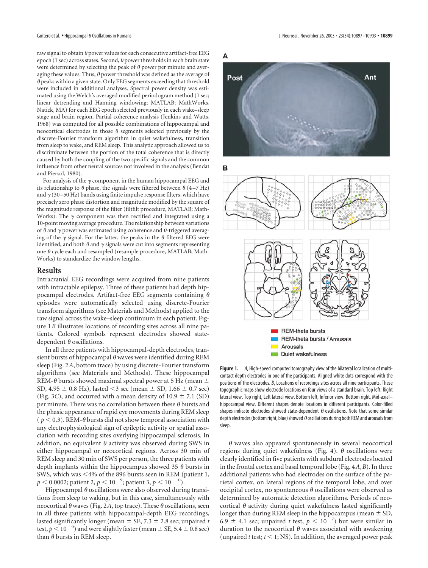raw signal to obtain  $\theta$  power values for each consecutive artifact-free EEG epoch (1 sec) across states. Second,  $\theta$  power thresholds in each brain state were determined by selecting the peak of  $\theta$  power per minute and averaging these values. Thus,  $\theta$  power threshold was defined as the average of  $\theta$  peaks within a given state. Only EEG segments exceeding that threshold were included in additional analyses. Spectral power density was estimated using the Welch's averaged modified periodogram method (1 sec; linear detrending and Hanning windowing; MATLAB; MathWorks, Natick, MA) for each EEG epoch selected previously in each wake–sleep stage and brain region. Partial coherence analysis (Jenkins and Watts, 1968) was computed for all possible combinations of hippocampal and neocortical electrodes in those  $\theta$  segments selected previously by the discrete-Fourier transform algorithm in quiet wakefulness, transition from sleep to wake, and REM sleep. This analytic approach allowed us to discriminate between the portion of the total coherence that is directly caused by both the coupling of the two specific signals and the common influence from other neural sources not involved in the analysis (Bendat and Piersol, 1980).

For analysis of the  $\gamma$  component in the human hippocampal EEG and its relationship to  $\theta$  phase, the signals were filtered between  $\theta$  (4–7 Hz) and  $\gamma$  (30–50 Hz) bands using finite impulse response filters, which have precisely zero phase distortion and magnitude modified by the square of the magnitude response of the filter (filtfilt procedure, MATLAB; Math-Works). The  $\gamma$  component was then rectified and integrated using a 10-point moving average procedure. The relationship between variations of  $\theta$  and  $\gamma$  power was estimated using coherence and  $\theta$ -triggered averaging of the  $\gamma$  signal. For the latter, the peaks in the  $\theta$ -filtered EEG were identified, and both  $\theta$  and  $\gamma$  signals were cut into segments representing one  $\theta$  cycle each and resampled (resample procedure, MATLAB; Math-Works) to standardize the window lengths.

#### **Results**

Intracranial EEG recordings were acquired from nine patients with intractable epilepsy. Three of these patients had depth hippocampal electrodes. Artifact-free EEG segments containing  $\theta$ episodes were automatically selected using discrete-Fourier transform algorithms (see Materials and Methods) applied to the raw signal across the wake–sleep continuum in each patient. Figure 1*B* illustrates locations of recording sites across all nine patients. Colored symbols represent electrodes showed statedependent  $\theta$  oscillations.

In all three patients with hippocampal-depth electrodes, transient bursts of hippocampal  $\theta$  waves were identified during REM sleep (Fig. 2*A*, bottom trace) by using discrete-Fourier transform algorithms (see Materials and Methods). These hippocampal REM- $\theta$  bursts showed maximal spectral power at 5 Hz (mean  $\pm$ SD, 4.95  $\pm$  0.8 Hz), lasted <3 sec (mean  $\pm$  SD, 1.66  $\pm$  0.7 sec) (Fig. 3*C*), and occurred with a mean density of  $10.9 \pm 7.1$  (SD) per minute. There was no correlation between these  $\theta$  bursts and the phasic appearance of rapid eye movements during REM sleep ( $p < 0.3$ ). REM- $\theta$  bursts did not show temporal association with any electrophysiological sign of epileptic activity or spatial association with recording sites overlying hippocampal sclerosis. In addition, no equivalent  $\theta$  activity was observed during SWS in either hippocampal or neocortical regions. Across 30 min of REM sleep and 30 min of SWS per person, the three patients with depth implants within the hippocampus showed 35  $\theta$  bursts in SWS, which was  $\leq 4\%$  of the 896 bursts seen in REM (patient 1,  $p <$  0.0002; patient 2,  $p <$  10  $^{-9}$ ; patient 3,  $p <$  10  $^{-10}$ ).

Hippocampal  $\theta$  oscillations were also observed during transitions from sleep to waking, but in this case, simultaneously with neocortical  $\theta$  waves (Fig. 2A, top trace). These  $\theta$  oscillations, seen in all three patients with hippocampal-depth EEG recordings, lasted significantly longer (mean  $\pm$  SE, 7.3  $\pm$  2.8 sec; unpaired *t* test,  $p < 10^{-9}$ ) and were slightly faster (mean  $\pm$  SE, 5.4  $\pm$  0.8 sec) than  $\theta$  bursts in REM sleep.



**Figure 1.** *A*, High-speed computed tomography view of the bilateral localization of multicontact depth electrodes in one of the participants. Aligned white dots correspond with the positions of the electrodes. *B*, Locations of recordings sites across all nine participants. These topographic maps show electrode locations on four views of a standard brain. Top left, Right lateral view. Top right, Left lateral view. Bottom left, Inferior view. Bottom right, Mid-axial– hippocampal view. Different shapes denote locations in different participants. Color-filled shapes indicate electrodes showed state-dependent  $\theta$  oscillations. Note that some similar depth electrodes (bottom right, blue) showed  $\theta$  oscillations during both REM and arousals from sleep.

 $\theta$  waves also appeared spontaneously in several neocortical regions during quiet wakefulness (Fig. 4).  $\theta$  oscillations were clearly identified in five patients with subdural electrodes located in the frontal cortex and basal temporal lobe (Fig. 4*A*,*B*). In three additional patients who had electrodes on the surface of the parietal cortex, on lateral regions of the temporal lobe, and over occipital cortex, no spontaneous  $\theta$  oscillations were observed as determined by automatic detection algorithms. Periods of neocortical  $\theta$  activity during quiet wakefulness lasted significantly longer than during REM sleep in the hippocampus (mean  $\pm$  SD, 6.9  $\pm$  4.1 sec; unpaired *t* test,  $p < 10^{-7}$ ) but were similar in duration to the neocortical  $\theta$  waves associated with awakening (unpaired *t* test;  $t \le 1$ ; NS). In addition, the averaged power peak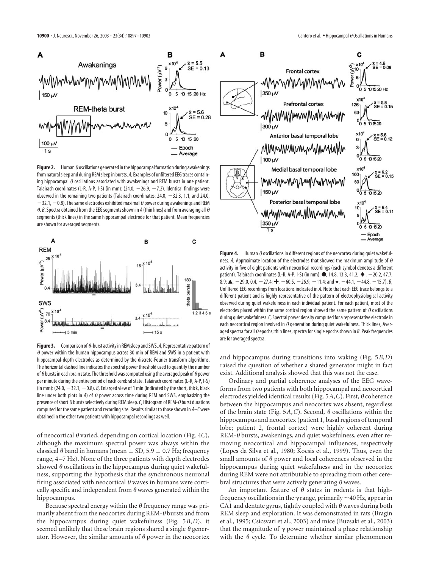C

 $x10$ 



from natural sleep and during REM sleep in bursts. *A*, Examples of unfiltered EEG traces containing hippocampal  $\theta$  oscillations associated with awakenings and REM bursts in one patient. Talairach coordinates (L-R, A-P, I-S) (in mm):  $(24.0, -26.9, -7.2)$ . Identical findings were observed in the remaining two patients (Talairach coordinates:  $24.0, -32.3, 1.1$ ; and 24.0,  $-32.1, -0.8$ ). The same electrodes exhibited maximal  $\theta$  power during awakenings and REM  $\theta$ . *B*, Spectra obtained from the EEG segments shown in *A* (thin lines) and from averaging all  $\theta$ segments (thick lines) in the same hippocampal electrode for that patient. Mean frequencies are shown for averaged segments.



**Figure 3.** Comparison of  $\theta$ -burst activity in REM sleep and SWS. A, Representative pattern of  $\theta$  power within the human hippocampus across 30 min of REM and SWS in a patient with hippocampal-depth electrodes as determined by the discrete-Fourier transform algorithms. The horizontal dashed line indicates the spectral power threshold used to quantify the number of  $\theta$  bursts in each brain state. The threshold was computed using the averaged peak of  $\theta$  power per minute during the entire period of each cerebral state. Talairach coordinates (L-R, A-P, I-S) (in mm):  $(24.0, -32.1, -0.8)$ . *B*, Enlarged view of 1 min (indicated by the short, thick, black line under both plots in *A*) of  $\theta$  power across time during REM and SWS, emphasizing the presence of short  $\theta$  bursts selectively during REM sleep. C, Histogram of REM- $\theta$  burst durations computed for the same patient and recording site. Results similar to those shown in *A–C* were obtained in the other two patients with hippocampal recordings as well.

of neocortical  $\theta$  varied, depending on cortical location (Fig. 4*C*), although the maximum spectral power was always within the classical  $\theta$  band in humans (mean  $\pm$  SD, 5.9  $\pm$  0.7 Hz; frequency range, 4–7 Hz). None of the three patients with depth electrodes showed  $\theta$  oscillations in the hippocampus during quiet wakefulness, supporting the hypothesis that the synchronous neuronal firing associated with neocortical  $\theta$  waves in humans were cortically specific and independent from  $\theta$  waves generated within the hippocampus.

Because spectral energy within the  $\theta$  frequency range was primarily absent from the neocortex during REM- $\theta$  bursts and from the hippocampus during quiet wakefulness (Fig. 5*B*,*D*), it seemed unlikely that these brain regions shared a single  $\theta$  generator. However, the similar amounts of  $\theta$  power in the neocortex



ness. A, Approximate location of the electrodes that showed the maximum amplitude of  $\theta$ activity in five of eight patients with neocortical recordings (each symbol denotes a different patient). Talairach coordinates (L-R, A-P, I-S) (in mm):  $\bullet$ , 14.8, 13.3, 41.2;  $\bullet$ , -20.2, 47.7,  $8.9;$  **A**,  $-29.0$ , 0.4,  $-27.4;$   $\clubsuit$ ,  $-60.5$ ,  $-26.9$ ,  $-11.4$ ; and  $\star$ ,  $-44.1$ ,  $-44.8$ ,  $-15.7$ ). *B*, Unfiltered EEG recordings from locations indicated in *A*. Note that each EEG trace belongs to a different patient and is highly representative of the pattern of electrophysiological activity observed during quiet wakefulness in each individual patient. For each patient, most of the electrodes placed within the same cortical region showed the same pattern of  $\theta$  oscillations during quiet wakefulness.*C*, Spectral power density computed for a representative electrode in each neocortical region involved in  $\theta$  generation during quiet wakefulness. Thick lines, Averaged spectra for all  $\theta$  epochs; thin lines, spectra for single epochs shown in  $B$ . Peak frequencies are for averaged spectra.

and hippocampus during transitions into waking (Fig. 5*B*,*D*) raised the question of whether a shared generator might in fact exist. Additional analysis showed that this was not the case.

Ordinary and partial coherence analyses of the EEG waveforms from two patients with both hippocampal and neocortical electrodes yielded identical results (Fig. 5A, C). First,  $\theta$  coherence between the hippocampus and neocortex was absent, regardless of the brain state (Fig. 5A, C). Second,  $\theta$  oscillations within the hippocampus and neocortex (patient 1, basal regions of temporal lobe; patient 2, frontal cortex) were highly coherent during  $REM-\theta$  bursts, awakenings, and quiet wakefulness, even after removing neocortical and hippocampal influences, respectively (Lopes da Silva et al., 1980; Kocsis et al., 1999). Thus, even the small amounts of  $\theta$  power and local coherences observed in the hippocampus during quiet wakefulness and in the neocortex during REM were not attributable to spreading from other cerebral structures that were actively generating  $\theta$  waves.

An important feature of  $\theta$  states in rodents is that highfrequency oscillations in the  $\gamma$  range, primarily  ${\sim}$  40 Hz, appear in CA1 and dentate gyrus, tightly coupled with  $\theta$  waves during both REM sleep and exploration. It was demonstrated in rats (Bragin et al., 1995; Csicsvari et al., 2003) and mice (Buzsaki et al., 2003) that the magnitude of  $\gamma$  power maintained a phase relationship with the  $\theta$  cycle. To determine whether similar phenomenon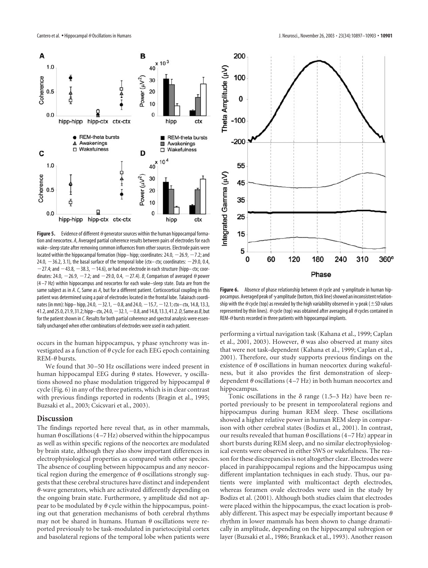

**Figure 5.** Evidence of different  $\theta$  generator sources within the human hippocampal formation and neocortex. *A*, Averaged partial coherence results between pairs of electrodes for each wake–sleep state after removing common influences from other sources. Electrode pairs were located within the hippocampal formation (hipp– hipp; coordinates:  $24.0, -26.9, -7.2$ ; and 24.0,  $-36.2$ , 3.1), the basal surface of the temporal lobe (ctx– ctx; coordinates:  $-29.0$ , 0.4,  $-27.4$ ; and  $-43.8$ ,  $-38.3$ ,  $-14.6$ ), or had one electrode in each structure (hipp– ctx; coordinates: 24.0,  $-$  26.9,  $-$  7.2; and  $-$  29.0, 0.4,  $-$  27.4). *B*, Comparison of averaged  $\theta$  power (4 –7 Hz) within hippocampus and neocortex for each wake–sleep state. Data are from the same subject as in *A*. *C*, Same as *A*, but for a different patient. Corticocortical coupling in this patient was determined using a pair of electrodes located in the frontal lobe. Talairach coordinates (in mm): hipp-hipp, 24.0,  $-32.1$ ,  $-0.8$ , and 24.0,  $-15.7$ ,  $-12.1$ ; ctx-ctx, 14.8, 13.3, 41.2, and 25.0, 21.9, 31.2; hipp– ctx, 24.0,32.1,0.8, and 14.8, 13.3, 41.2.*D*, Same as *B*, but for the patient shown in *C*. Results for both partial coherence and spectral analysis were essentially unchanged when other combinations of electrodes were used in each patient.

occurs in the human hippocampus,  $\gamma$  phase synchrony was investigated as a function of  $\theta$  cycle for each EEG epoch containing  $REM-\theta$  bursts.

We found that 30–50 Hz oscillations were indeed present in human hippocampal EEG during  $\theta$  states. However,  $\gamma$  oscillations showed no phase modulation triggered by hippocampal  $\theta$ cycle (Fig. 6) in any of the three patients, which is in clear contrast with previous findings reported in rodents (Bragin et al., 1995; Buzsaki et al., 2003; Csicsvari et al., 2003).

#### **Discussion**

The findings reported here reveal that, as in other mammals, human  $\theta$  oscillations (4–7 Hz) observed within the hippocampus as well as within specific regions of the neocortex are modulated by brain state, although they also show important differences in electrophysiological properties as compared with other species. The absence of coupling between hippocampus and any neocortical region during the emergence of  $\theta$  oscillations strongly suggests that these cerebral structures have distinct and independent  $\theta$ -wave generators, which are activated differently depending on the ongoing brain state. Furthermore,  $\gamma$  amplitude did not appear to be modulated by  $\theta$  cycle within the hippocampus, pointing out that generation mechanisms of both cerebral rhythms may not be shared in humans. Human  $\theta$  oscillations were reported previously to be task-modulated in parietoccipital cortex and basolateral regions of the temporal lobe when patients were



**Figure 6.** Absence of phase relationship between  $\theta$  cycle and  $\gamma$  amplitude in human hippocampus. Averaged peak of  $\gamma$  amplitude (bottom, thick line) showed an inconsistent relationship with the  $\theta$  cycle (top) as revealed by the high variability observed in  $\gamma$  peak (  $\pm$  SD values represented by thin lines).  $\theta$  cycle (top) was obtained after averaging all  $\theta$  cycles contained in REM- $\theta$  bursts recorded in three patients with hippocampal implants.

performing a virtual navigation task (Kahana et al., 1999; Caplan et al., 2001, 2003). However,  $\theta$  was also observed at many sites that were not task-dependent (Kahana et al., 1999; Caplan et al., 2001). Therefore, our study supports previous findings on the existence of  $\theta$  oscillations in human neocortex during wakefulness, but it also provides the first demonstration of sleepdependent  $\theta$  oscillations (4–7 Hz) in both human neocortex and hippocampus.

Tonic oscillations in the  $\delta$  range (1.5–3 Hz) have been reported previously to be present in temporolateral regions and hippocampus during human REM sleep. These oscillations showed a higher relative power in human REM sleep in comparison with other cerebral states (Bodizs et al., 2001). In contrast, our results revealed that human  $\theta$  oscillations (4–7 Hz) appear in short bursts during REM sleep, and no similar electrophysiological events were observed in either SWS or wakefulness. The reason for these discrepancies is not altogether clear. Electrodes were placed in parahippocampal regions and the hippocampus using different implantation techniques in each study. Thus, our patients were implanted with multicontact depth electrodes, whereas foramen ovale electrodes were used in the study by Bodizs et al. (2001). Although both studies claim that electrodes were placed within the hippocampus, the exact location is probably different. This aspect may be especially important because  $\theta$ rhythm in lower mammals has been shown to change dramatically in amplitude, depending on the hippocampal subregion or layer (Buzsaki et al., 1986; Brankack et al., 1993). Another reason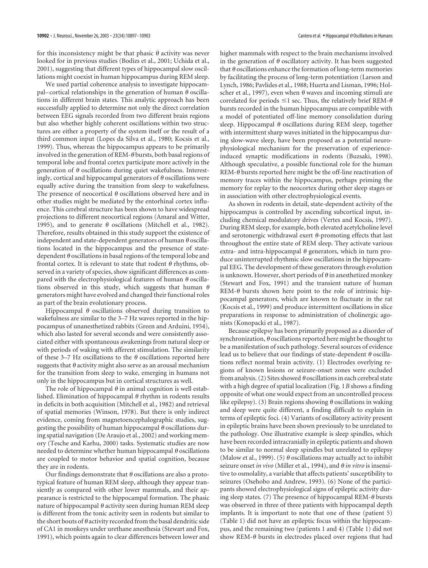for this inconsistency might be that phasic  $\theta$  activity was never looked for in previous studies (Bodizs et al., 2001; Uchida et al., 2001), suggesting that different types of hippocampal slow oscillations might coexist in human hippocampus during REM sleep.

We used partial coherence analysis to investigate hippocampal–cortical relationships in the generation of human  $\theta$  oscillations in different brain states. This analytic approach has been successfully applied to determine not only the direct correlation between EEG signals recorded from two different brain regions but also whether highly coherent oscillations within two structures are either a property of the system itself or the result of a third common input (Lopes da Silva et al., 1980; Kocsis et al., 1999). Thus, whereas the hippocampus appears to be primarily involved in the generation of REM- $\theta$  bursts, both basal regions of temporal lobe and frontal cortex participate more actively in the generation of  $\theta$  oscillations during quiet wakefulness. Interestingly, cortical and hippocampal generators of  $\theta$  oscillations were equally active during the transition from sleep to wakefulness. The presence of neocortical  $\theta$  oscillations observed here and in other studies might be mediated by the entorhinal cortex influence. This cerebral structure has been shown to have widespread projections to different neocortical regions (Amaral and Witter, 1995), and to generate  $\theta$  oscillations (Mitchell et al., 1982). Therefore, results obtained in this study support the existence of independent and state-dependent generators of human  $\theta$  oscillations located in the hippocampus and the presence of statedependent  $\theta$  oscillations in basal regions of the temporal lobe and frontal cortex. It is relevant to state that rodent  $\theta$  rhythms, observed in a variety of species, show significant differences as compared with the electrophysiological features of human  $\theta$  oscillations observed in this study, which suggests that human  $\theta$ generators might have evolved and changed their functional roles as part of the brain evolutionary process.

Hippocampal  $\theta$  oscillations observed during transition to wakefulness are similar to the 3–7 Hz waves reported in the hippocampus of unanesthetized rabbits (Green and Arduini, 1954), which also lasted for several seconds and were consistently associated either with spontaneous awakenings from natural sleep or with periods of waking with afferent stimulation. The similarity of these 3–7 Hz oscillations to the  $\theta$  oscillations reported here suggests that  $\theta$  activity might also serve as an arousal mechanism for the transition from sleep to wake, emerging in humans not only in the hippocampus but in cortical structures as well.

The role of hippocampal  $\theta$  in animal cognition is well established. Elimination of hippocampal  $\theta$  rhythm in rodents results in deficits in both acquisition (Mitchell et al., 1982) and retrieval of spatial memories (Winson, 1978). But there is only indirect evidence, coming from magnetoencephalographic studies, suggesting the possibility of human hippocampal  $\theta$  oscillations during spatial navigation (De Araujo et al., 2002) and working memory (Tesche and Karhu, 2000) tasks. Systematic studies are now needed to determine whether human hippocampal  $\theta$  oscillations are coupled to motor behavior and spatial cognition, because they are in rodents.

Our findings demonstrate that  $\theta$  oscillations are also a prototypical feature of human REM sleep, although they appear transiently as compared with other lower mammals, and their appearance is restricted to the hippocampal formation. The phasic nature of hippocampal  $\theta$  activity seen during human REM sleep is different from the tonic activity seen in rodents but similar to the short bouts of  $\theta$  activity recorded from the basal dendritic side of CA1 in monkeys under urethane anesthesia (Stewart and Fox, 1991), which points again to clear differences between lower and

higher mammals with respect to the brain mechanisms involved in the generation of  $\theta$  oscillatory activity. It has been suggested that  $\theta$  oscillations enhance the formation of long-term memories by facilitating the process of long-term potentiation (Larson and Lynch, 1986; Pavlides et al., 1988; Huerta and Lisman, 1996; Holscher et al., 1997), even when  $\theta$  waves and incoming stimuli are correlated for periods  $\leq 1$  sec. Thus, the relatively brief REM- $\theta$ bursts recorded in the human hippocampus are compatible with a model of potentiated off-line memory consolidation during sleep. Hippocampal  $\theta$  oscillations during REM sleep, together with intermittent sharp waves initiated in the hippocampus during slow-wave sleep, have been proposed as a potential neurophysiological mechanism for the preservation of experienceinduced synaptic modifications in rodents (Buzsaki, 1998). Although speculative, a possible functional role for the human REM- $\theta$  bursts reported here might be the off-line reactivation of memory traces within the hippocampus, perhaps priming the memory for replay to the neocortex during other sleep stages or in association with other electrophysiological events.

As shown in rodents in detail, state-dependent activity of the hippocampus is controlled by ascending subcortical input, including chemical modulatory drives (Vertes and Kocsis, 1997). During REM sleep, for example, both elevated acetylcholine level and serotonergic withdrawal exert  $\theta$ -promoting effects that last throughout the entire state of REM sleep. They activate various extra- and intra-hippocampal  $\theta$  generators, which in turn produce uninterrupted rhythmic slow oscillations in the hippocampal EEG. The development of these generators through evolution is unknown. However, short periods of  $\theta$  in anesthetized monkey (Stewart and Fox, 1991) and the transient nature of human REM- $\theta$  bursts shown here point to the role of intrinsic hippocampal generators, which are known to fluctuate in the rat (Kocsis et al., 1999) and produce intermittent oscillations in slice preparations in response to administration of cholinergic agonists (Konopacki et al., 1987).

Because epilepsy has been primarily proposed as a disorder of synchronization,  $\theta$  oscillations reported here might be thought to be a manifestation of such pathology. Several sources of evidence lead us to believe that our findings of state-dependent  $\theta$  oscillations reflect normal brain activity. (1) Electrodes overlying regions of known lesions or seizure-onset zones were excluded from analysis. (2) Sites showed  $\theta$  oscillations in each cerebral state with a high degree of spatial localization (Fig. 1*B* shows a finding opposite of what one would expect from an uncontrolled process like epilepsy). (3) Brain regions showing  $\theta$  oscillations in waking and sleep were quite different, a finding difficult to explain in terms of epileptic foci. (4) Variants of oscillatory activity present in epileptic brains have been shown previously to be unrelated to the pathology. One illustrative example is sleep spindles, which have been recorded intracranially in epileptic patients and shown to be similar to normal sleep spindles but unrelated to epilepsy (Malow et al., 1999). (5)  $\theta$  oscillations may actually act to inhibit seizure onset *in vivo* (Miller et al., 1994), and *in vitro* is insensitive to osmolality, a variable that affects patients' susceptibility to seizures (Osehobo and Andrew, 1993). (6) None of the participants showed electrophysiological signs of epileptic activity during sleep states. (7) The presence of hippocampal REM- $\theta$  bursts was observed in three of three patients with hippocampal depth implants. It is important to note that one of these (patient 5) (Table 1) did not have an epileptic focus within the hippocampus, and the remaining two (patients 1 and 4) (Table 1) did not show REM- $\theta$  bursts in electrodes placed over regions that had